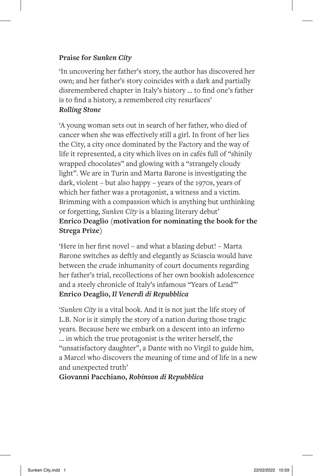### **Praise for** *Sunken City*

'In uncovering her father's story, the author has discovered her own; and her father's story coincides with a dark and partially disremembered chapter in Italy's history … to find one's father is to find a history, a remembered city resurfaces' *Rolling Stone*

'A young woman sets out in search of her father, who died of cancer when she was effectively still a girl. In front of her lies the City, a city once dominated by the Factory and the way of life it represented, a city which lives on in cafés full of "shinily wrapped chocolates" and glowing with a "strangely cloudy light". We are in Turin and Marta Barone is investigating the dark, violent – but also happy – years of the 1970s, years of which her father was a protagonist, a witness and a victim. Brimming with a compassion which is anything but unthinking or forgetting, *Sunken City* is a blazing literary debut' **Enrico Deaglio (motivation for nominating the book for the Strega Prize)** 

'Here in her first novel – and what a blazing debut! – Marta Barone switches as deftly and elegantly as Sciascia would have between the crude inhumanity of court documents regarding her father's trial, recollections of her own bookish adolescence and a steely chronicle of Italy's infamous "Years of Lead"' **Enrico Deaglio,** *Il Venerdì di Repubblica*

'*Sunken City* is a vital book. And it is not just the life story of L.B. Nor is it simply the story of a nation during those tragic years. Because here we embark on a descent into an inferno … in which the true protagonist is the writer herself, the "unsatisfactory daughter", a Dante with no Virgil to guide him, a Marcel who discovers the meaning of time and of life in a new and unexpected truth'

**Giovanni Pacchiano,** *Robinson di Repubblica*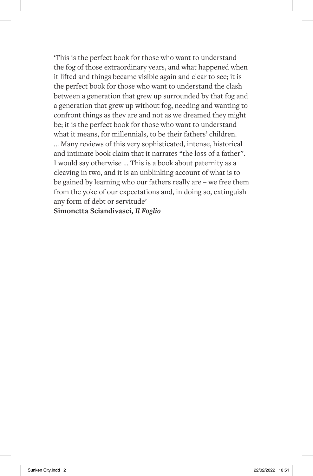'This is the perfect book for those who want to understand the fog of those extraordinary years, and what happened when it lifted and things became visible again and clear to see; it is the perfect book for those who want to understand the clash between a generation that grew up surrounded by that fog and a generation that grew up without fog, needing and wanting to confront things as they are and not as we dreamed they might be; it is the perfect book for those who want to understand what it means, for millennials, to be their fathers' children. … Many reviews of this very sophisticated, intense, historical and intimate book claim that it narrates "the loss of a father". I would say otherwise … This is a book about paternity as a cleaving in two, and it is an unblinking account of what is to be gained by learning who our fathers really are – we free them from the yoke of our expectations and, in doing so, extinguish any form of debt or servitude'

### **Simonetta Sciandivasci,** *Il Foglio*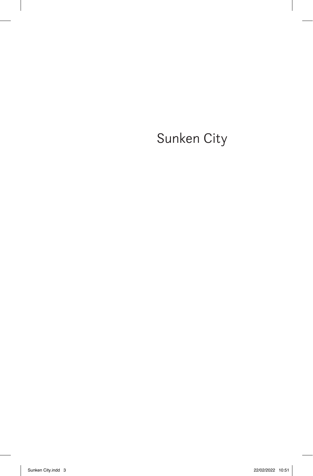Sunken City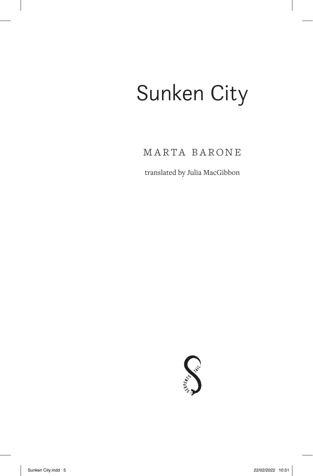# Sunken City

Marta Barone

translated by Julia MacGibbon

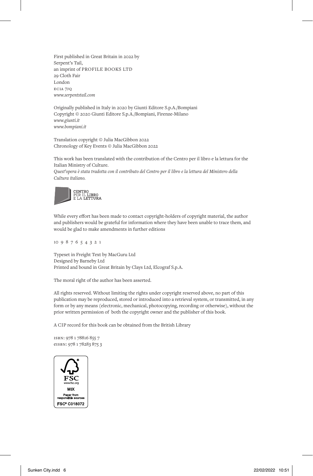First published in Great Britain in 2022 by Serpent's Tail, an imprint of PROFILE BOOKS LTD 29 Cloth Fair London eC1a 7jq *www.serpentstail.com*

Originally published in Italy in 2020 by Giunti Editore S.p.A./Bompiani Copyright © 2020 Giunti Editore S.p.A./Bompiani, Firenze-Milano *www.giunti.it www.bompiani.it*

Translation copyright © Julia MacGibbon 2022 Chronology of Key Events © Julia MacGibbon 2022

This work has been translated with the contribution of the Centro per il libro e la lettura for the Italian Ministry of Culture.

*Quest'opera è stata tradotta con il contributo del Centro per il libro e la lettura del Ministero della Cultura italiano.*



While every effort has been made to contact copyright-holders of copyright material, the author and publishers would be grateful for information where they have been unable to trace them, and would be glad to make amendments in further editions

10 9 8 7 6 5 4 3 2 1

Typeset in Freight Text by MacGuru Ltd Designed by Barneby Ltd Printed and bound in Great Britain by Clays Ltd, Elcograf S.p.A.

The moral right of the author has been asserted.

All rights reserved. Without limiting the rights under copyright reserved above, no part of this publication may be reproduced, stored or introduced into a retrieval system, or transmitted, in any form or by any means (electronic, mechanical, photocopying, recording or otherwise), without the prior written permission of both the copyright owner and the publisher of this book.

A CIP record for this book can be obtained from the British Library

ISBN: 978 1 78816 855 7 eISBN: 978 1 78283 875 3

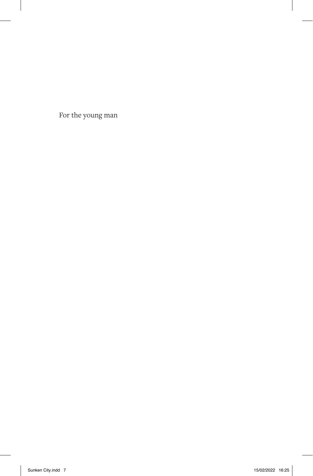For the young man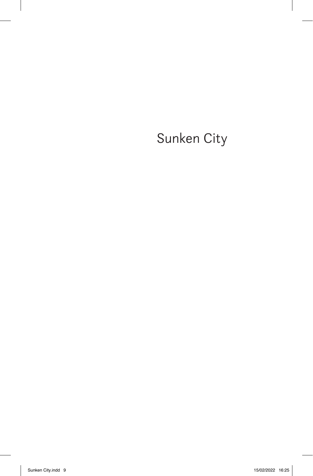Sunken City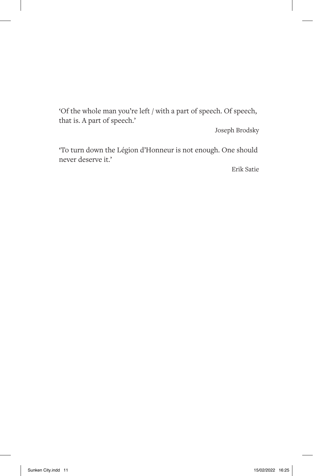'Of the whole man you're left / with a part of speech. Of speech, that is. A part of speech.'

Joseph Brodsky

'To turn down the Légion d'Honneur is not enough. One should never deserve it.'

Erik Satie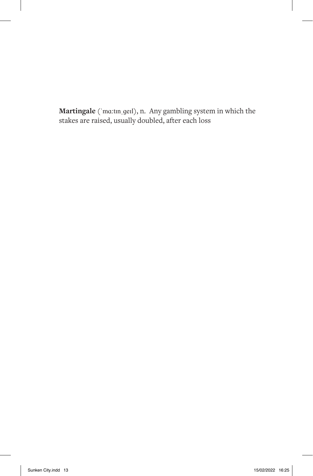**Martingale** (ˈmɑ:tɪnˌɡeɪl), n. Any gambling system in which the stakes are raised, usually doubled, after each loss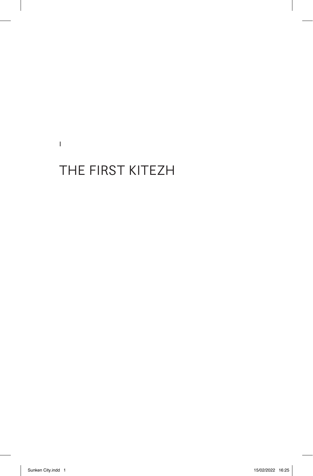I

## THE FIRST KITEZH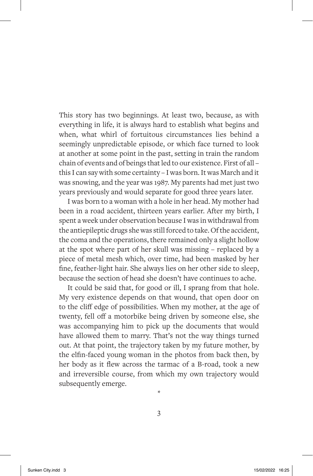This story has two beginnings. At least two, because, as with everything in life, it is always hard to establish what begins and when, what whirl of fortuitous circumstances lies behind a seemingly unpredictable episode, or which face turned to look at another at some point in the past, setting in train the random chain of events and of beings that led to our existence. First of all – this I can say with some certainty – I was born. It was March and it was snowing, and the year was 1987. My parents had met just two years previously and would separate for good three years later.

I was born to a woman with a hole in her head. My mother had been in a road accident, thirteen years earlier. After my birth, I spent a week under observation because I was in withdrawal from the antiepileptic drugs she was still forced to take. Of the accident, the coma and the operations, there remained only a slight hollow at the spot where part of her skull was missing – replaced by a piece of metal mesh which, over time, had been masked by her fine, feather-light hair. She always lies on her other side to sleep, because the section of head she doesn't have continues to ache.

It could be said that, for good or ill, I sprang from that hole. My very existence depends on that wound, that open door on to the cliff edge of possibilities. When my mother, at the age of twenty, fell off a motorbike being driven by someone else, she was accompanying him to pick up the documents that would have allowed them to marry. That's not the way things turned out. At that point, the trajectory taken by my future mother, by the elfin-faced young woman in the photos from back then, by her body as it flew across the tarmac of a B-road, took a new and irreversible course, from which my own trajectory would subsequently emerge.

3

\*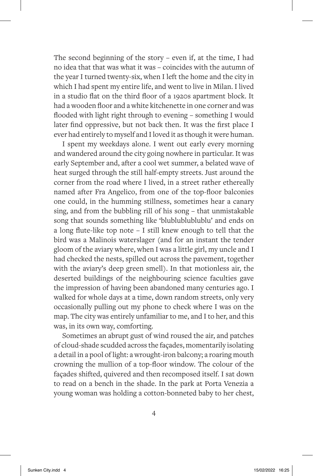The second beginning of the story – even if, at the time, I had no idea that that was what it was – coincides with the autumn of the year I turned twenty-six, when I left the home and the city in which I had spent my entire life, and went to live in Milan. I lived in a studio flat on the third floor of a 1920s apartment block. It had a wooden floor and a white kitchenette in one corner and was flooded with light right through to evening – something I would later find oppressive, but not back then. It was the first place I ever had entirely to myself and I loved it as though it were human.

I spent my weekdays alone. I went out early every morning and wandered around the city going nowhere in particular. It was early September and, after a cool wet summer, a belated wave of heat surged through the still half-empty streets. Just around the corner from the road where I lived, in a street rather ethereally named after Fra Angelico, from one of the top-floor balconies one could, in the humming stillness, sometimes hear a canary sing, and from the bubbling rill of his song – that unmistakable song that sounds something like 'blublublublublu' and ends on a long flute-like top note – I still knew enough to tell that the bird was a Malinois waterslager (and for an instant the tender gloom of the aviary where, when I was a little girl, my uncle and I had checked the nests, spilled out across the pavement, together with the aviary's deep green smell). In that motionless air, the deserted buildings of the neighbouring science faculties gave the impression of having been abandoned many centuries ago. I walked for whole days at a time, down random streets, only very occasionally pulling out my phone to check where I was on the map. The city was entirely unfamiliar to me, and I to her, and this was, in its own way, comforting.

Sometimes an abrupt gust of wind roused the air, and patches of cloud-shade scudded across the façades, momentarily isolating a detail in a pool of light: a wrought-iron balcony; a roaring mouth crowning the mullion of a top-floor window. The colour of the façades shifted, quivered and then recomposed itself. I sat down to read on a bench in the shade. In the park at Porta Venezia a young woman was holding a cotton-bonneted baby to her chest,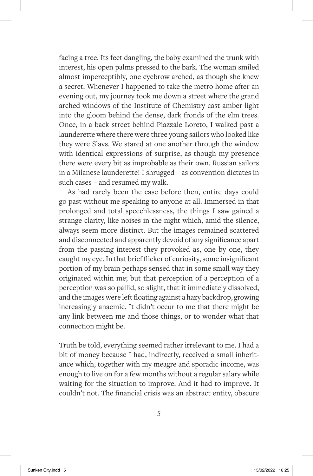facing a tree. Its feet dangling, the baby examined the trunk with interest, his open palms pressed to the bark. The woman smiled almost imperceptibly, one eyebrow arched, as though she knew a secret. Whenever I happened to take the metro home after an evening out, my journey took me down a street where the grand arched windows of the Institute of Chemistry cast amber light into the gloom behind the dense, dark fronds of the elm trees. Once, in a back street behind Piazzale Loreto, I walked past a launderette where there were three young sailors who looked like they were Slavs. We stared at one another through the window with identical expressions of surprise, as though my presence there were every bit as improbable as their own. Russian sailors in a Milanese launderette! I shrugged – as convention dictates in such cases – and resumed my walk.

As had rarely been the case before then, entire days could go past without me speaking to anyone at all. Immersed in that prolonged and total speechlessness, the things I saw gained a strange clarity, like noises in the night which, amid the silence, always seem more distinct. But the images remained scattered and disconnected and apparently devoid of any significance apart from the passing interest they provoked as, one by one, they caught my eye. In that brief flicker of curiosity, some insignificant portion of my brain perhaps sensed that in some small way they originated within me; but that perception of a perception of a perception was so pallid, so slight, that it immediately dissolved, and the images were left floating against a hazy backdrop, growing increasingly anaemic. It didn't occur to me that there might be any link between me and those things, or to wonder what that connection might be.

Truth be told, everything seemed rather irrelevant to me. I had a bit of money because I had, indirectly, received a small inheritance which, together with my meagre and sporadic income, was enough to live on for a few months without a regular salary while waiting for the situation to improve. And it had to improve. It couldn't not. The financial crisis was an abstract entity, obscure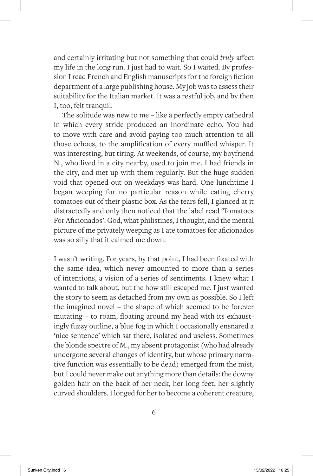and certainly irritating but not something that could *truly* affect my life in the long run. I just had to wait. So I waited. By profession I read French and English manuscripts for the foreign fiction department of a large publishing house. My job was to assess their suitability for the Italian market. It was a restful job, and by then I, too, felt tranquil.

The solitude was new to me – like a perfectly empty cathedral in which every stride produced an inordinate echo. You had to move with care and avoid paying too much attention to all those echoes, to the amplification of every muffled whisper. It was interesting, but tiring. At weekends, of course, my boyfriend N., who lived in a city nearby, used to join me. I had friends in the city, and met up with them regularly. But the huge sudden void that opened out on weekdays was hard. One lunchtime I began weeping for no particular reason while eating cherry tomatoes out of their plastic box. As the tears fell, I glanced at it distractedly and only then noticed that the label read 'Tomatoes For Aficionados'. God, what philistines, I thought, and the mental picture of me privately weeping as I ate tomatoes for aficionados was so silly that it calmed me down.

I wasn't writing. For years, by that point, I had been fixated with the same idea, which never amounted to more than a series of intentions, a vision of a series of sentiments. I knew what I wanted to talk about, but the how still escaped me. I just wanted the story to seem as detached from my own as possible. So I left the imagined novel – the shape of which seemed to be forever mutating – to roam, floating around my head with its exhaustingly fuzzy outline, a blue fog in which I occasionally ensnared a 'nice sentence' which sat there, isolated and useless. Sometimes the blonde spectre of M., my absent protagonist (who had already undergone several changes of identity, but whose primary narrative function was essentially to be dead) emerged from the mist, but I could never make out anything more than details: the downy golden hair on the back of her neck, her long feet, her slightly curved shoulders. I longed for her to become a coherent creature,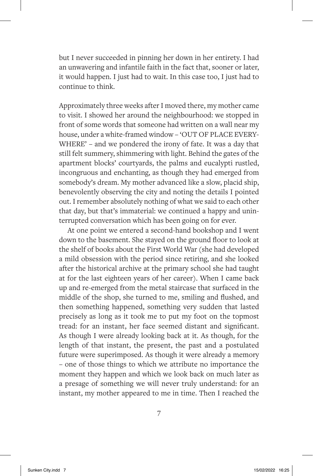but I never succeeded in pinning her down in her entirety. I had an unwavering and infantile faith in the fact that, sooner or later, it would happen. I just had to wait. In this case too, I just had to continue to think.

Approximately three weeks after I moved there, my mother came to visit. I showed her around the neighbourhood: we stopped in front of some words that someone had written on a wall near my house, under a white-framed window – 'OUT OF PLACE EVERY-WHERE' – and we pondered the irony of fate. It was a day that still felt summery, shimmering with light. Behind the gates of the apartment blocks' courtyards, the palms and eucalypti rustled, incongruous and enchanting, as though they had emerged from somebody's dream. My mother advanced like a slow, placid ship, benevolently observing the city and noting the details I pointed out. I remember absolutely nothing of what we said to each other that day, but that's immaterial: we continued a happy and uninterrupted conversation which has been going on for ever.

At one point we entered a second-hand bookshop and I went down to the basement. She stayed on the ground floor to look at the shelf of books about the First World War (she had developed a mild obsession with the period since retiring, and she looked after the historical archive at the primary school she had taught at for the last eighteen years of her career). When I came back up and re-emerged from the metal staircase that surfaced in the middle of the shop, she turned to me, smiling and flushed, and then something happened, something very sudden that lasted precisely as long as it took me to put my foot on the topmost tread: for an instant, her face seemed distant and significant. As though I were already looking back at it. As though, for the length of that instant, the present, the past and a postulated future were superimposed. As though it were already a memory – one of those things to which we attribute no importance the moment they happen and which we look back on much later as a presage of something we will never truly understand: for an instant, my mother appeared to me in time. Then I reached the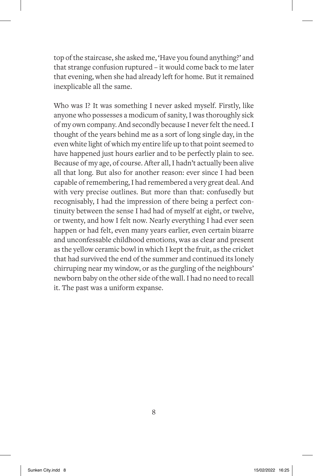top of the staircase, she asked me, 'Have you found anything?' and that strange confusion ruptured – it would come back to me later that evening, when she had already left for home. But it remained inexplicable all the same.

Who was I? It was something I never asked myself. Firstly, like anyone who possesses a modicum of sanity, I was thoroughly sick of my own company. And secondly because I never felt the need. I thought of the years behind me as a sort of long single day, in the even white light of which my entire life up to that point seemed to have happened just hours earlier and to be perfectly plain to see. Because of my age, of course. After all, I hadn't actually been alive all that long. But also for another reason: ever since I had been capable of remembering, I had remembered a very great deal. And with very precise outlines. But more than that: confusedly but recognisably, I had the impression of there being a perfect continuity between the sense I had had of myself at eight, or twelve, or twenty, and how I felt now. Nearly everything I had ever seen happen or had felt, even many years earlier, even certain bizarre and unconfessable childhood emotions, was as clear and present as the yellow ceramic bowl in which I kept the fruit, as the cricket that had survived the end of the summer and continued its lonely chirruping near my window, or as the gurgling of the neighbours' newborn baby on the other side of the wall. I had no need to recall it. The past was a uniform expanse.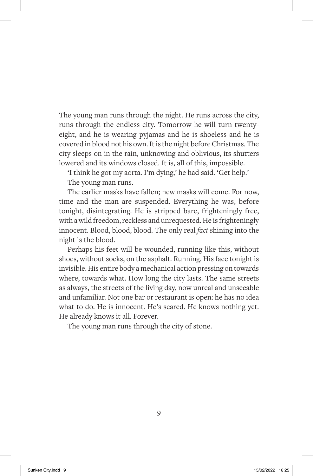The young man runs through the night. He runs across the city, runs through the endless city. Tomorrow he will turn twentyeight, and he is wearing pyjamas and he is shoeless and he is covered in blood not his own. It is the night before Christmas. The city sleeps on in the rain, unknowing and oblivious, its shutters lowered and its windows closed. It is, all of this, impossible.

'I think he got my aorta. I'm dying,' he had said. 'Get help.'

The young man runs.

The earlier masks have fallen; new masks will come. For now, time and the man are suspended. Everything he was, before tonight, disintegrating. He is stripped bare, frighteningly free, with a wild freedom, reckless and unrequested. He is frighteningly innocent. Blood, blood, blood. The only real *fact* shining into the night is the blood.

Perhaps his feet will be wounded, running like this, without shoes, without socks, on the asphalt. Running. His face tonight is invisible. His entire body a mechanical action pressing on towards where, towards what. How long the city lasts. The same streets as always, the streets of the living day, now unreal and unseeable and unfamiliar. Not one bar or restaurant is open: he has no idea what to do. He is innocent. He's scared. He knows nothing yet. He already knows it all. Forever.

The young man runs through the city of stone.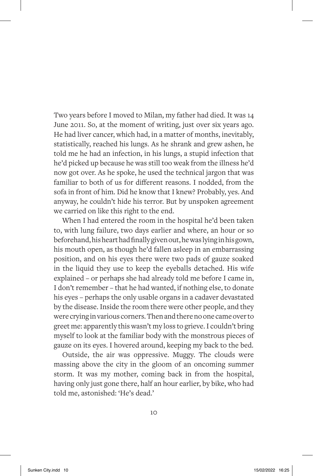Two years before I moved to Milan, my father had died. It was 14 June 2011. So, at the moment of writing, just over six years ago. He had liver cancer, which had, in a matter of months, inevitably, statistically, reached his lungs. As he shrank and grew ashen, he told me he had an infection, in his lungs, a stupid infection that he'd picked up because he was still too weak from the illness he'd now got over. As he spoke, he used the technical jargon that was familiar to both of us for different reasons. I nodded, from the sofa in front of him. Did he know that I knew? Probably, yes. And anyway, he couldn't hide his terror. But by unspoken agreement we carried on like this right to the end.

When I had entered the room in the hospital he'd been taken to, with lung failure, two days earlier and where, an hour or so beforehand, his heart had finally given out, he was lying in his gown, his mouth open, as though he'd fallen asleep in an embarrassing position, and on his eyes there were two pads of gauze soaked in the liquid they use to keep the eyeballs detached. His wife explained – or perhaps she had already told me before I came in, I don't remember – that he had wanted, if nothing else, to donate his eyes – perhaps the only usable organs in a cadaver devastated by the disease. Inside the room there were other people, and they were crying in various corners. Then and there no one came over to greet me: apparently this wasn't my loss to grieve. I couldn't bring myself to look at the familiar body with the monstrous pieces of gauze on its eyes. I hovered around, keeping my back to the bed.

Outside, the air was oppressive. Muggy. The clouds were massing above the city in the gloom of an oncoming summer storm. It was my mother, coming back in from the hospital, having only just gone there, half an hour earlier, by bike, who had told me, astonished: 'He's dead.'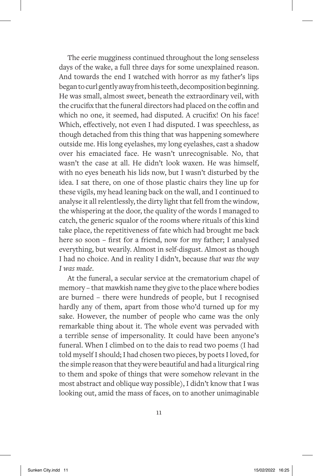The eerie mugginess continued throughout the long senseless days of the wake, a full three days for some unexplained reason. And towards the end I watched with horror as my father's lips began to curl gently away from his teeth, decomposition beginning. He was small, almost sweet, beneath the extraordinary veil, with the crucifix that the funeral directors had placed on the coffin and which no one, it seemed, had disputed. A crucifix! On his face! Which, effectively, not even I had disputed. I was speechless, as though detached from this thing that was happening somewhere outside me. His long eyelashes, my long eyelashes, cast a shadow over his emaciated face. He wasn't unrecognisable. No, that wasn't the case at all. He didn't look waxen. He was himself, with no eyes beneath his lids now, but I wasn't disturbed by the idea. I sat there, on one of those plastic chairs they line up for these vigils, my head leaning back on the wall, and I continued to analyse it all relentlessly, the dirty light that fell from the window, the whispering at the door, the quality of the words I managed to catch, the generic squalor of the rooms where rituals of this kind take place, the repetitiveness of fate which had brought me back here so soon – first for a friend, now for my father; I analysed everything, but wearily. Almost in self-disgust. Almost as though I had no choice. And in reality I didn't, because *that was the way I was made*.

At the funeral, a secular service at the crematorium chapel of memory – that mawkish name they give to the place where bodies are burned – there were hundreds of people, but I recognised hardly any of them, apart from those who'd turned up for my sake. However, the number of people who came was the only remarkable thing about it. The whole event was pervaded with a terrible sense of impersonality. It could have been anyone's funeral. When I climbed on to the dais to read two poems (I had told myself I should; I had chosen two pieces, by poets I loved, for the simple reason that they were beautiful and had a liturgical ring to them and spoke of things that were somehow relevant in the most abstract and oblique way possible), I didn't know that I was looking out, amid the mass of faces, on to another unimaginable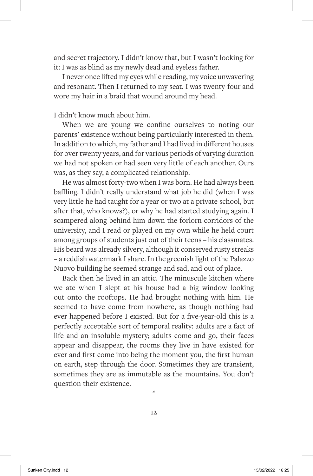and secret trajectory. I didn't know that, but I wasn't looking for it: I was as blind as my newly dead and eyeless father.

I never once lifted my eyes while reading, my voice unwavering and resonant. Then I returned to my seat. I was twenty-four and wore my hair in a braid that wound around my head.

#### I didn't know much about him.

When we are young we confine ourselves to noting our parents' existence without being particularly interested in them. In addition to which, my father and I had lived in different houses for over twenty years, and for various periods of varying duration we had not spoken or had seen very little of each another. Ours was, as they say, a complicated relationship.

He was almost forty-two when I was born. He had always been baffling. I didn't really understand what job he did (when I was very little he had taught for a year or two at a private school, but after that, who knows?), or why he had started studying again. I scampered along behind him down the forlorn corridors of the university, and I read or played on my own while he held court among groups of students just out of their teens – his classmates. His beard was already silvery, although it conserved rusty streaks – a reddish watermark I share. In the greenish light of the Palazzo Nuovo building he seemed strange and sad, and out of place.

Back then he lived in an attic. The minuscule kitchen where we ate when I slept at his house had a big window looking out onto the rooftops. He had brought nothing with him. He seemed to have come from nowhere, as though nothing had ever happened before I existed. But for a five-year-old this is a perfectly acceptable sort of temporal reality: adults are a fact of life and an insoluble mystery; adults come and go, their faces appear and disappear, the rooms they live in have existed for ever and first come into being the moment you, the first human on earth, step through the door. Sometimes they are transient, sometimes they are as immutable as the mountains. You don't question their existence.

\*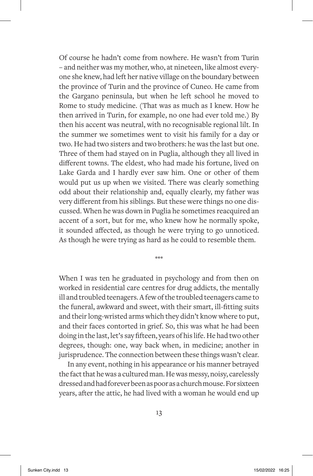Of course he hadn't come from nowhere. He wasn't from Turin – and neither was my mother, who, at nineteen, like almost everyone she knew, had left her native village on the boundary between the province of Turin and the province of Cuneo. He came from the Gargano peninsula, but when he left school he moved to Rome to study medicine. (That was as much as I knew. How he then arrived in Turin, for example, no one had ever told me.) By then his accent was neutral, with no recognisable regional lilt. In the summer we sometimes went to visit his family for a day or two. He had two sisters and two brothers: he was the last but one. Three of them had stayed on in Puglia, although they all lived in different towns. The eldest, who had made his fortune, lived on Lake Garda and I hardly ever saw him. One or other of them would put us up when we visited. There was clearly something odd about their relationship and, equally clearly, my father was very different from his siblings. But these were things no one discussed. When he was down in Puglia he sometimes reacquired an accent of a sort, but for me, who knew how he normally spoke, it sounded affected, as though he were trying to go unnoticed. As though he were trying as hard as he could to resemble them.

When I was ten he graduated in psychology and from then on worked in residential care centres for drug addicts, the mentally ill and troubled teenagers. A few of the troubled teenagers came to the funeral, awkward and sweet, with their smart, ill-fitting suits and their long-wristed arms which they didn't know where to put, and their faces contorted in grief. So, this was what he had been doing in the last, let's say fifteen, years of his life. He had two other degrees, though: one, way back when, in medicine; another in jurisprudence. The connection between these things wasn't clear.

\*\*\*

In any event, nothing in his appearance or his manner betrayed the fact that he was a cultured man. He was messy, noisy, carelessly dressed and had forever been as poor as a church mouse. For sixteen years, after the attic, he had lived with a woman he would end up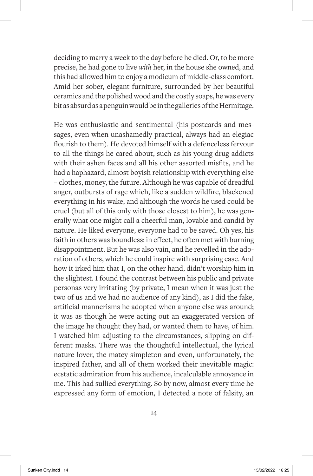deciding to marry a week to the day before he died. Or, to be more precise, he had gone to live *with* her, in the house she owned, and this had allowed him to enjoy a modicum of middle-class comfort. Amid her sober, elegant furniture, surrounded by her beautiful ceramics and the polished wood and the costly soaps, he was every bit as absurd as a penguin would be in the galleries of the Hermitage.

He was enthusiastic and sentimental (his postcards and messages, even when unashamedly practical, always had an elegiac flourish to them). He devoted himself with a defenceless fervour to all the things he cared about, such as his young drug addicts with their ashen faces and all his other assorted misfits, and he had a haphazard, almost boyish relationship with everything else – clothes, money, the future. Although he was capable of dreadful anger, outbursts of rage which, like a sudden wildfire, blackened everything in his wake, and although the words he used could be cruel (but all of this only with those closest to him), he was generally what one might call a cheerful man, lovable and candid by nature. He liked everyone, everyone had to be saved. Oh yes, his faith in others was boundless: in effect, he often met with burning disappointment. But he was also vain, and he revelled in the adoration of others, which he could inspire with surprising ease. And how it irked him that I, on the other hand, didn't worship him in the slightest. I found the contrast between his public and private personas very irritating (by private, I mean when it was just the two of us and we had no audience of any kind), as I did the fake, artificial mannerisms he adopted when anyone else was around; it was as though he were acting out an exaggerated version of the image he thought they had, or wanted them to have, of him. I watched him adjusting to the circumstances, slipping on different masks. There was the thoughtful intellectual, the lyrical nature lover, the matey simpleton and even, unfortunately, the inspired father, and all of them worked their inevitable magic: ecstatic admiration from his audience, incalculable annoyance in me. This had sullied everything. So by now, almost every time he expressed any form of emotion, I detected a note of falsity, an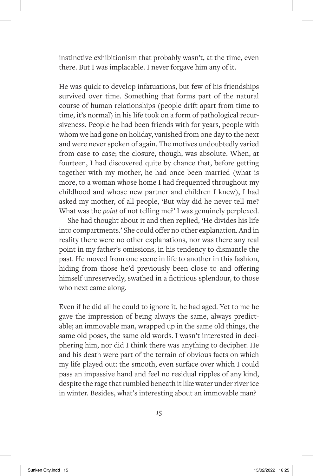instinctive exhibitionism that probably wasn't, at the time, even there. But I was implacable. I never forgave him any of it.

He was quick to develop infatuations, but few of his friendships survived over time. Something that forms part of the natural course of human relationships (people drift apart from time to time, it's normal) in his life took on a form of pathological recursiveness. People he had been friends with for years, people with whom we had gone on holiday, vanished from one day to the next and were never spoken of again. The motives undoubtedly varied from case to case; the closure, though, was absolute. When, at fourteen, I had discovered quite by chance that, before getting together with my mother, he had once been married (what is more, to a woman whose home I had frequented throughout my childhood and whose new partner and children I knew), I had asked my mother, of all people, 'But why did he never tell me? What was the *point* of not telling me?' I was genuinely perplexed.

She had thought about it and then replied, 'He divides his life into compartments.' She could offer no other explanation. And in reality there were no other explanations, nor was there any real point in my father's omissions, in his tendency to dismantle the past. He moved from one scene in life to another in this fashion, hiding from those he'd previously been close to and offering himself unreservedly, swathed in a fictitious splendour, to those who next came along.

Even if he did all he could to ignore it, he had aged. Yet to me he gave the impression of being always the same, always predictable; an immovable man, wrapped up in the same old things, the same old poses, the same old words. I wasn't interested in deciphering him, nor did I think there was anything to decipher. He and his death were part of the terrain of obvious facts on which my life played out: the smooth, even surface over which I could pass an impassive hand and feel no residual ripples of any kind, despite the rage that rumbled beneath it like water under river ice in winter. Besides, what's interesting about an immovable man?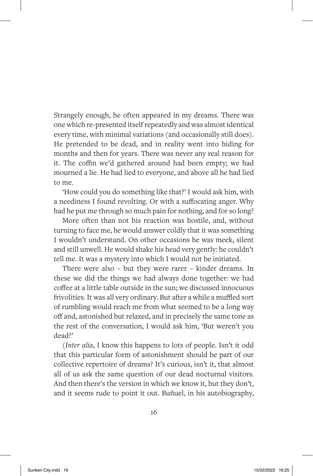Strangely enough, he often appeared in my dreams. There was one which re-presented itself repeatedly and was almost identical every time, with minimal variations (and occasionally still does). He pretended to be dead, and in reality went into hiding for months and then for years. There was never any real reason for it. The coffin we'd gathered around had been empty; we had mourned a lie. He had lied to everyone, and above all he had lied to me.

'How could you do something like that?' I would ask him, with a neediness I found revolting. Or with a suffocating anger. Why had he put me through so much pain for nothing, and for so long?

More often than not his reaction was hostile, and, without turning to face me, he would answer coldly that it was something I wouldn't understand. On other occasions he was meek, silent and still unwell. He would shake his head very gently: he couldn't tell me. It was a mystery into which I would not be initiated.

There were also – but they were rarer – kinder dreams. In these we did the things we had always done together: we had coffee at a little table outside in the sun; we discussed innocuous frivolities. It was all very ordinary. But after a while a muffled sort of rumbling would reach me from what seemed to be a long way off and, astonished but relaxed, and in precisely the same tone as the rest of the conversation, I would ask him, 'But weren't you dead?'

(*Inter alia*, I know this happens to lots of people. Isn't it odd that this particular form of astonishment should be part of our collective repertoire of dreams? It's curious, isn't it, that almost all of us ask the same question of our dead nocturnal visitors. And then there's the version in which we know it, but they don't, and it seems rude to point it out. Buñuel, in his autobiography,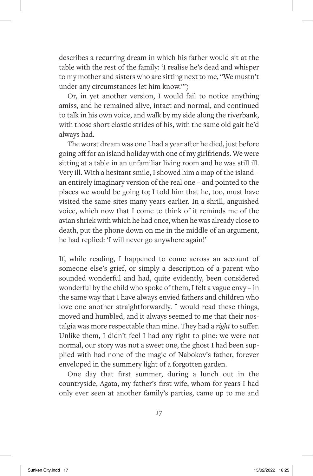describes a recurring dream in which his father would sit at the table with the rest of the family: 'I realise he's dead and whisper to my mother and sisters who are sitting next to me, "We mustn't under any circumstances let him know."')

Or, in yet another version, I would fail to notice anything amiss, and he remained alive, intact and normal, and continued to talk in his own voice, and walk by my side along the riverbank, with those short elastic strides of his, with the same old gait he'd always had.

The worst dream was one I had a year after he died, just before going off for an island holiday with one of my girlfriends. We were sitting at a table in an unfamiliar living room and he was still ill. Very ill. With a hesitant smile, I showed him a map of the island – an entirely imaginary version of the real one – and pointed to the places we would be going to; I told him that he, too, must have visited the same sites many years earlier. In a shrill, anguished voice, which now that I come to think of it reminds me of the avian shriek with which he had once, when he was already close to death, put the phone down on me in the middle of an argument, he had replied: 'I will never go anywhere again!'

If, while reading, I happened to come across an account of someone else's grief, or simply a description of a parent who sounded wonderful and had, quite evidently, been considered wonderful by the child who spoke of them, I felt a vague envy – in the same way that I have always envied fathers and children who love one another straightforwardly. I would read these things, moved and humbled, and it always seemed to me that their nostalgia was more respectable than mine. They had a *right* to suffer. Unlike them, I didn't feel I had any right to pine: we were not normal, our story was not a sweet one, the ghost I had been supplied with had none of the magic of Nabokov's father, forever enveloped in the summery light of a forgotten garden.

One day that first summer, during a lunch out in the countryside, Agata, my father's first wife, whom for years I had only ever seen at another family's parties, came up to me and